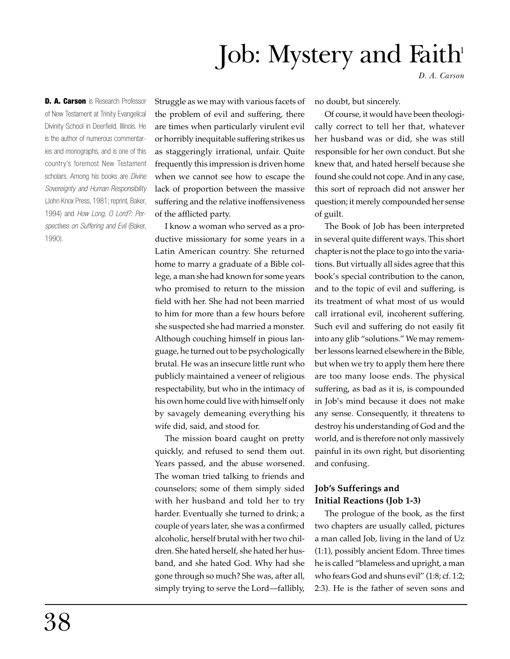# Job: Mystery and Faith

*D. A. Carson*

D. A. Carson is Research Professor of New Testament at Trinity Evangelical Divinity School in Deerfield, Illinois. He is the author of numerous commentaries and monographs, and is one of this country's foremost New Testament scholars. Among his books are *Divine Sovereignty and Human Responsibility* (John Knox Press, 1981; reprint, Baker, 1994) and *How Long, O Lord?: Perspectives on Suffering and Evil* (Baker, 1990).

Struggle as we may with various facets of the problem of evil and suffering, there are times when particularly virulent evil or horribly inequitable suffering strikes us as staggeringly irrational, unfair. Quite frequently this impression is driven home when we cannot see how to escape the lack of proportion between the massive suffering and the relative inoffensiveness of the afflicted party.

I know a woman who served as a productive missionary for some years in a Latin American country. She returned home to marry a graduate of a Bible college, a man she had known for some years who promised to return to the mission field with her. She had not been married to him for more than a few hours before she suspected she had married a monster. Although couching himself in pious language, he turned out to be psychologically brutal. He was an insecure little runt who publicly maintained a veneer of religious respectability, but who in the intimacy of his own home could live with himself only by savagely demeaning everything his wife did, said, and stood for.

The mission board caught on pretty quickly, and refused to send them out. Years passed, and the abuse worsened. The woman tried talking to friends and counselors; some of them simply sided with her husband and told her to try harder. Eventually she turned to drink; a couple of years later, she was a confirmed alcoholic, herself brutal with her two children. She hated herself, she hated her husband, and she hated God. Why had she gone through so much? She was, after all, simply trying to serve the Lord—fallibly,

no doubt, but sincerely.

Of course, it would have been theologically correct to tell her that, whatever her husband was or did, she was still responsible for her own conduct. But she knew that, and hated herself because she found she could not cope. And in any case, this sort of reproach did not answer her question; it merely compounded her sense of guilt.

The Book of Job has been interpreted in several quite different ways. This short chapter is not the place to go into the variations. But virtually all sides agree that this book's special contribution to the canon, and to the topic of evil and suffering, is its treatment of what most of us would call irrational evil, incoherent suffering. Such evil and suffering do not easily fit into any glib "solutions." We may remember lessons learned elsewhere in the Bible, but when we try to apply them here there are too many loose ends. The physical suffering, as bad as it is, is compounded in Job's mind because it does not make any sense. Consequently, it threatens to destroy his understanding of God and the world, and is therefore not only massively painful in its own right, but disorienting and confusing.

### **Job's Sufferings and Initial Reactions (Job 1-3)**

The prologue of the book, as the first two chapters are usually called, pictures a man called Job, living in the land of Uz (1:1), possibly ancient Edom. Three times he is called "blameless and upright, a man who fears God and shuns evil" (1:8; cf. 1:2; 2:3). He is the father of seven sons and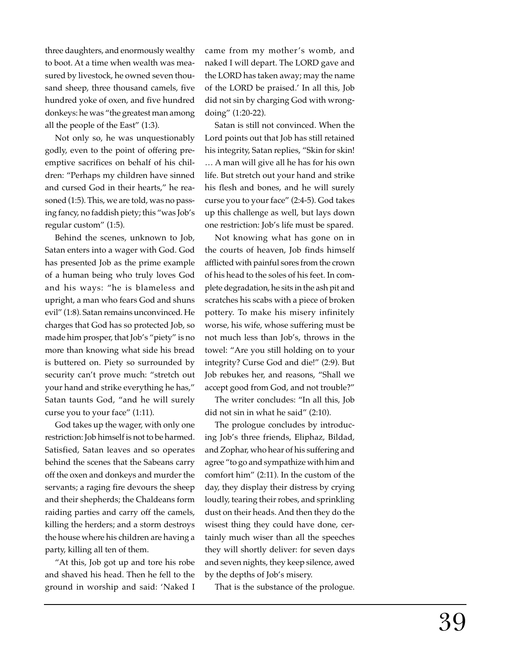three daughters, and enormously wealthy to boot. At a time when wealth was measured by livestock, he owned seven thousand sheep, three thousand camels, five hundred yoke of oxen, and five hundred donkeys: he was "the greatest man among all the people of the East" (1:3).

Not only so, he was unquestionably godly, even to the point of offering preemptive sacrifices on behalf of his children: "Perhaps my children have sinned and cursed God in their hearts," he reasoned (1:5). This, we are told, was no passing fancy, no faddish piety; this "was Job's regular custom" (1:5).

Behind the scenes, unknown to Job, Satan enters into a wager with God. God has presented Job as the prime example of a human being who truly loves God and his ways: "he is blameless and upright, a man who fears God and shuns evil" (1:8). Satan remains unconvinced. He charges that God has so protected Job, so made him prosper, that Job's "piety" is no more than knowing what side his bread is buttered on. Piety so surrounded by security can't prove much: "stretch out your hand and strike everything he has," Satan taunts God, "and he will surely curse you to your face" (1:11).

God takes up the wager, with only one restriction: Job himself is not to be harmed. Satisfied, Satan leaves and so operates behind the scenes that the Sabeans carry off the oxen and donkeys and murder the servants; a raging fire devours the sheep and their shepherds; the Chaldeans form raiding parties and carry off the camels, killing the herders; and a storm destroys the house where his children are having a party, killing all ten of them.

"At this, Job got up and tore his robe and shaved his head. Then he fell to the ground in worship and said: 'Naked I came from my mother's womb, and naked I will depart. The LORD gave and the LORD has taken away; may the name of the LORD be praised.' In all this, Job did not sin by charging God with wrongdoing" (1:20-22).

Satan is still not convinced. When the Lord points out that Job has still retained his integrity, Satan replies, "Skin for skin! … A man will give all he has for his own life. But stretch out your hand and strike his flesh and bones, and he will surely curse you to your face" (2:4-5). God takes up this challenge as well, but lays down one restriction: Job's life must be spared.

Not knowing what has gone on in the courts of heaven, Job finds himself afflicted with painful sores from the crown of his head to the soles of his feet. In complete degradation, he sits in the ash pit and scratches his scabs with a piece of broken pottery. To make his misery infinitely worse, his wife, whose suffering must be not much less than Job's, throws in the towel: "Are you still holding on to your integrity? Curse God and die!" (2:9). But Job rebukes her, and reasons, "Shall we accept good from God, and not trouble?"

The writer concludes: "In all this, Job did not sin in what he said" (2:10).

The prologue concludes by introducing Job's three friends, Eliphaz, Bildad, and Zophar, who hear of his suffering and agree "to go and sympathize with him and comfort him" (2:11). In the custom of the day, they display their distress by crying loudly, tearing their robes, and sprinkling dust on their heads. And then they do the wisest thing they could have done, certainly much wiser than all the speeches they will shortly deliver: for seven days and seven nights, they keep silence, awed by the depths of Job's misery.

That is the substance of the prologue.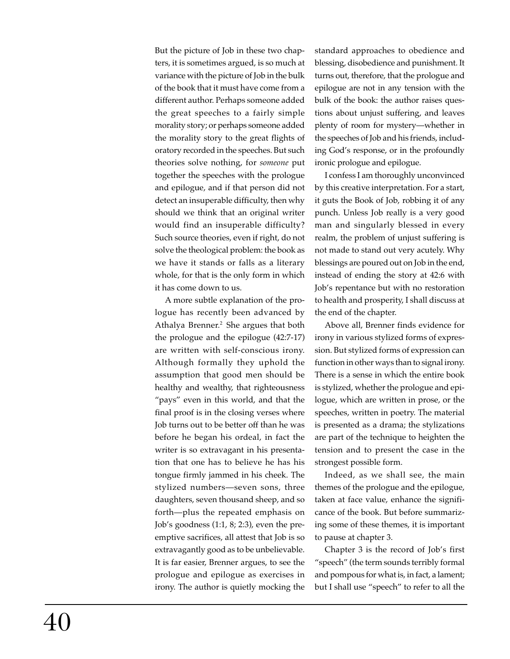But the picture of Job in these two chapters, it is sometimes argued, is so much at variance with the picture of Job in the bulk of the book that it must have come from a different author. Perhaps someone added the great speeches to a fairly simple morality story; or perhaps someone added the morality story to the great flights of oratory recorded in the speeches. But such theories solve nothing, for *someone* put together the speeches with the prologue and epilogue, and if that person did not detect an insuperable difficulty, then why should we think that an original writer would find an insuperable difficulty? Such source theories, even if right, do not solve the theological problem: the book as we have it stands or falls as a literary whole, for that is the only form in which it has come down to us.

A more subtle explanation of the prologue has recently been advanced by Athalya Brenner.<sup>2</sup> She argues that both the prologue and the epilogue (42:7-17) are written with self-conscious irony. Although formally they uphold the assumption that good men should be healthy and wealthy, that righteousness "pays" even in this world, and that the final proof is in the closing verses where Job turns out to be better off than he was before he began his ordeal, in fact the writer is so extravagant in his presentation that one has to believe he has his tongue firmly jammed in his cheek. The stylized numbers—seven sons, three daughters, seven thousand sheep, and so forth—plus the repeated emphasis on Job's goodness (1:1, 8; 2:3), even the preemptive sacrifices, all attest that Job is so extravagantly good as to be unbelievable. It is far easier, Brenner argues, to see the prologue and epilogue as exercises in irony. The author is quietly mocking the standard approaches to obedience and blessing, disobedience and punishment. It turns out, therefore, that the prologue and epilogue are not in any tension with the bulk of the book: the author raises questions about unjust suffering, and leaves plenty of room for mystery—whether in the speeches of Job and his friends, including God's response, or in the profoundly ironic prologue and epilogue.

I confess I am thoroughly unconvinced by this creative interpretation. For a start, it guts the Book of Job, robbing it of any punch. Unless Job really is a very good man and singularly blessed in every realm, the problem of unjust suffering is not made to stand out very acutely. Why blessings are poured out on Job in the end, instead of ending the story at 42:6 with Job's repentance but with no restoration to health and prosperity, I shall discuss at the end of the chapter.

Above all, Brenner finds evidence for irony in various stylized forms of expression. But stylized forms of expression can function in other ways than to signal irony. There is a sense in which the entire book is stylized, whether the prologue and epilogue, which are written in prose, or the speeches, written in poetry. The material is presented as a drama; the stylizations are part of the technique to heighten the tension and to present the case in the strongest possible form.

Indeed, as we shall see, the main themes of the prologue and the epilogue, taken at face value, enhance the significance of the book. But before summarizing some of these themes, it is important to pause at chapter 3.

Chapter 3 is the record of Job's first "speech" (the term sounds terribly formal and pompous for what is, in fact, a lament; but I shall use "speech" to refer to all the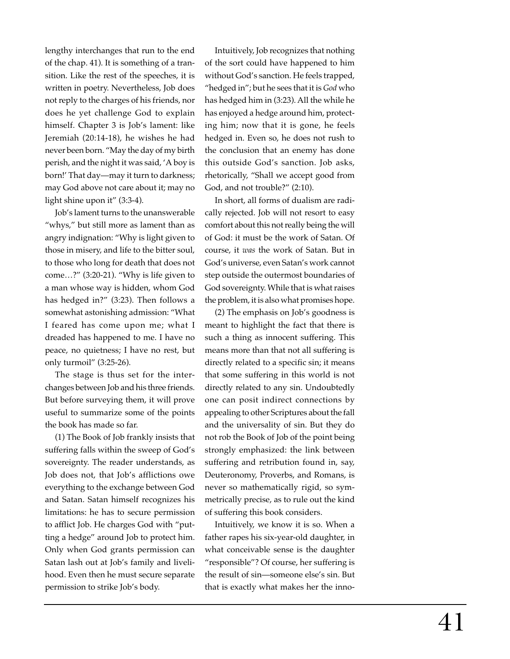lengthy interchanges that run to the end of the chap. 41). It is something of a transition. Like the rest of the speeches, it is written in poetry. Nevertheless, Job does not reply to the charges of his friends, nor does he yet challenge God to explain himself. Chapter 3 is Job's lament: like Jeremiah (20:14-18), he wishes he had never been born. "May the day of my birth perish, and the night it was said, 'A boy is born!' That day—may it turn to darkness; may God above not care about it; may no light shine upon it" (3:3-4).

Job's lament turns to the unanswerable "whys," but still more as lament than as angry indignation: "Why is light given to those in misery, and life to the bitter soul, to those who long for death that does not come…?" (3:20-21). "Why is life given to a man whose way is hidden, whom God has hedged in?" (3:23). Then follows a somewhat astonishing admission: "What I feared has come upon me; what I dreaded has happened to me. I have no peace, no quietness; I have no rest, but only turmoil" (3:25-26).

The stage is thus set for the interchanges between Job and his three friends. But before surveying them, it will prove useful to summarize some of the points the book has made so far.

(1) The Book of Job frankly insists that suffering falls within the sweep of God's sovereignty. The reader understands, as Job does not, that Job's afflictions owe everything to the exchange between God and Satan. Satan himself recognizes his limitations: he has to secure permission to afflict Job. He charges God with "putting a hedge" around Job to protect him. Only when God grants permission can Satan lash out at Job's family and livelihood. Even then he must secure separate permission to strike Job's body.

Intuitively, Job recognizes that nothing of the sort could have happened to him without God's sanction. He feels trapped, "hedged in"; but he sees that it is *God* who has hedged him in (3:23). All the while he has enjoyed a hedge around him, protecting him; now that it is gone, he feels hedged in. Even so, he does not rush to the conclusion that an enemy has done this outside God's sanction. Job asks, rhetorically, "Shall we accept good from God, and not trouble?" (2:10).

In short, all forms of dualism are radically rejected. Job will not resort to easy comfort about this not really being the will of God: it must be the work of Satan. Of course, it *was* the work of Satan. But in God's universe, even Satan's work cannot step outside the outermost boundaries of God sovereignty. While that is what raises the problem, it is also what promises hope.

(2) The emphasis on Job's goodness is meant to highlight the fact that there is such a thing as innocent suffering. This means more than that not all suffering is directly related to a specific sin; it means that some suffering in this world is not directly related to any sin. Undoubtedly one can posit indirect connections by appealing to other Scriptures about the fall and the universality of sin. But they do not rob the Book of Job of the point being strongly emphasized: the link between suffering and retribution found in, say, Deuteronomy, Proverbs, and Romans, is never so mathematically rigid, so symmetrically precise, as to rule out the kind of suffering this book considers.

Intuitively, we know it is so. When a father rapes his six-year-old daughter, in what conceivable sense is the daughter "responsible"? Of course, her suffering is the result of sin—someone else's sin. But that is exactly what makes her the inno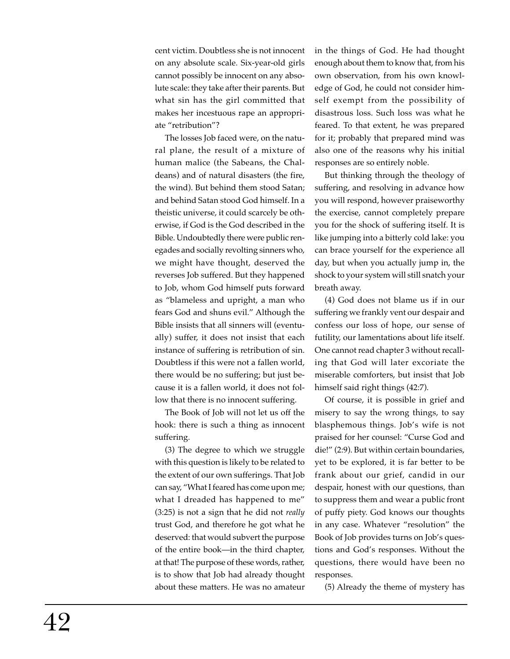cent victim. Doubtless she is not innocent on any absolute scale. Six-year-old girls cannot possibly be innocent on any absolute scale: they take after their parents. But what sin has the girl committed that makes her incestuous rape an appropriate "retribution"?

The losses Job faced were, on the natural plane, the result of a mixture of human malice (the Sabeans, the Chaldeans) and of natural disasters (the fire, the wind). But behind them stood Satan; and behind Satan stood God himself. In a theistic universe, it could scarcely be otherwise, if God is the God described in the Bible. Undoubtedly there were public renegades and socially revolting sinners who, we might have thought, deserved the reverses Job suffered. But they happened to Job, whom God himself puts forward as "blameless and upright, a man who fears God and shuns evil." Although the Bible insists that all sinners will (eventually) suffer, it does not insist that each instance of suffering is retribution of sin. Doubtless if this were not a fallen world, there would be no suffering; but just because it is a fallen world, it does not follow that there is no innocent suffering.

The Book of Job will not let us off the hook: there is such a thing as innocent suffering.

(3) The degree to which we struggle with this question is likely to be related to the extent of our own sufferings. That Job can say, "What I feared has come upon me; what I dreaded has happened to me" (3:25) is not a sign that he did not *really* trust God, and therefore he got what he deserved: that would subvert the purpose of the entire book—in the third chapter, at that! The purpose of these words, rather, is to show that Job had already thought about these matters. He was no amateur

in the things of God. He had thought enough about them to know that, from his own observation, from his own knowledge of God, he could not consider himself exempt from the possibility of disastrous loss. Such loss was what he feared. To that extent, he was prepared for it; probably that prepared mind was also one of the reasons why his initial responses are so entirely noble.

But thinking through the theology of suffering, and resolving in advance how you will respond, however praiseworthy the exercise, cannot completely prepare you for the shock of suffering itself. It is like jumping into a bitterly cold lake: you can brace yourself for the experience all day, but when you actually jump in, the shock to your system will still snatch your breath away.

(4) God does not blame us if in our suffering we frankly vent our despair and confess our loss of hope, our sense of futility, our lamentations about life itself. One cannot read chapter 3 without recalling that God will later excoriate the miserable comforters, but insist that Job himself said right things (42:7).

Of course, it is possible in grief and misery to say the wrong things, to say blasphemous things. Job's wife is not praised for her counsel: "Curse God and die!" (2:9). But within certain boundaries, yet to be explored, it is far better to be frank about our grief, candid in our despair, honest with our questions, than to suppress them and wear a public front of puffy piety. God knows our thoughts in any case. Whatever "resolution" the Book of Job provides turns on Job's questions and God's responses. Without the questions, there would have been no responses.

(5) Already the theme of mystery has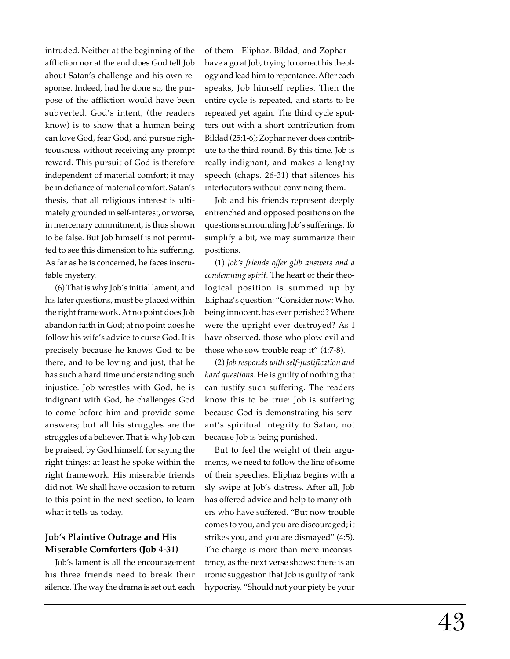intruded. Neither at the beginning of the affliction nor at the end does God tell Job about Satan's challenge and his own response. Indeed, had he done so, the purpose of the affliction would have been subverted. God's intent, (the readers know) is to show that a human being can love God, fear God, and pursue righteousness without receiving any prompt reward. This pursuit of God is therefore independent of material comfort; it may be in defiance of material comfort. Satan's thesis, that all religious interest is ultimately grounded in self-interest, or worse, in mercenary commitment, is thus shown to be false. But Job himself is not permitted to see this dimension to his suffering. As far as he is concerned, he faces inscrutable mystery.

(6) That is why Job's initial lament, and his later questions, must be placed within the right framework. At no point does Job abandon faith in God; at no point does he follow his wife's advice to curse God. It is precisely because he knows God to be there, and to be loving and just, that he has such a hard time understanding such injustice. Job wrestles with God, he is indignant with God, he challenges God to come before him and provide some answers; but all his struggles are the struggles of a believer. That is why Job can be praised, by God himself, for saying the right things: at least he spoke within the right framework. His miserable friends did not. We shall have occasion to return to this point in the next section, to learn what it tells us today.

## **Job's Plaintive Outrage and His Miserable Comforters (Job 4-31)**

Job's lament is all the encouragement his three friends need to break their silence. The way the drama is set out, each

of them—Eliphaz, Bildad, and Zophar have a go at Job, trying to correct his theology and lead him to repentance. After each speaks, Job himself replies. Then the entire cycle is repeated, and starts to be repeated yet again. The third cycle sputters out with a short contribution from Bildad (25:1-6); Zophar never does contribute to the third round. By this time, Job is really indignant, and makes a lengthy speech (chaps. 26-31) that silences his interlocutors without convincing them.

Job and his friends represent deeply entrenched and opposed positions on the questions surrounding Job's sufferings. To simplify a bit, we may summarize their positions.

(1) *Job's friends offer glib answers and a condemning spirit.* The heart of their theological position is summed up by Eliphaz's question: "Consider now: Who, being innocent, has ever perished? Where were the upright ever destroyed? As I have observed, those who plow evil and those who sow trouble reap it" (4:7-8).

(2) *Job responds with self-justification and hard questions.* He is guilty of nothing that can justify such suffering. The readers know this to be true: Job is suffering because God is demonstrating his servant's spiritual integrity to Satan, not because Job is being punished.

But to feel the weight of their arguments, we need to follow the line of some of their speeches. Eliphaz begins with a sly swipe at Job's distress. After all, Job has offered advice and help to many others who have suffered. "But now trouble comes to you, and you are discouraged; it strikes you, and you are dismayed" (4:5). The charge is more than mere inconsistency, as the next verse shows: there is an ironic suggestion that Job is guilty of rank hypocrisy. "Should not your piety be your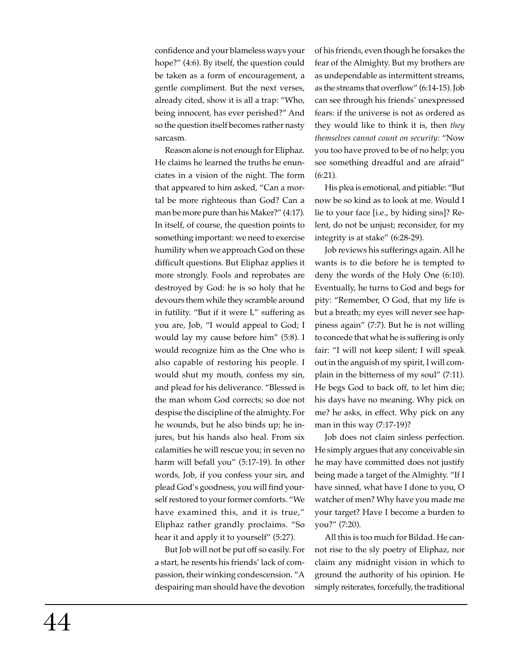confidence and your blameless ways your hope?" (4:6). By itself, the question could be taken as a form of encouragement, a gentle compliment. But the next verses, already cited, show it is all a trap: "Who, being innocent, has ever perished?" And so the question itself becomes rather nasty sarcasm.

Reason alone is not enough for Eliphaz. He claims he learned the truths he enunciates in a vision of the night. The form that appeared to him asked, "Can a mortal be more righteous than God? Can a man be more pure than his Maker?" (4:17). In itself, of course, the question points to something important: we need to exercise humility when we approach God on these difficult questions. But Eliphaz applies it more strongly. Fools and reprobates are destroyed by God: he is so holy that he devours them while they scramble around in futility. "But if it were I," suffering as you are, Job, "I would appeal to God; I would lay my cause before him" (5:8). I would recognize him as the One who is also capable of restoring his people. I would shut my mouth, confess my sin, and plead for his deliverance. "Blessed is the man whom God corrects; so doe not despise the discipline of the almighty. For he wounds, but he also binds up; he injures, but his hands also heal. From six calamities he will rescue you; in seven no harm will befall you" (5:17-19). In other words, Job, if you confess your sin, and plead God's goodness, you will find yourself restored to your former comforts. "We have examined this, and it is true," Eliphaz rather grandly proclaims. "So hear it and apply it to yourself" (5:27).

But Job will not be put off so easily. For a start, he resents his friends' lack of compassion, their winking condescension. "A despairing man should have the devotion

of his friends, even though he forsakes the fear of the Almighty. But my brothers are as undependable as intermittent streams, as the streams that overflow" (6:14-15). Job can see through his friends' unexpressed fears: if the universe is not as ordered as they would like to think it is, then *they themselves cannot count on security:* "Now you too have proved to be of no help; you see something dreadful and are afraid"  $(6:21)$ .

His plea is emotional, and pitiable: "But now be so kind as to look at me. Would I lie to your face [i.e., by hiding sins]? Relent, do not be unjust; reconsider, for my integrity is at stake" (6:28-29).

Job reviews his sufferings again. All he wants is to die before he is tempted to deny the words of the Holy One (6:10). Eventually, he turns to God and begs for pity: "Remember, O God, that my life is but a breath; my eyes will never see happiness again" (7:7). But he is not willing to concede that what he is suffering is only fair: "I will not keep silent; I will speak out in the anguish of my spirit, I will complain in the bitterness of my soul" (7:11). He begs God to back off, to let him die; his days have no meaning. Why pick on me? he asks, in effect. Why pick on any man in this way (7:17-19)?

Job does not claim sinless perfection. He simply argues that any conceivable sin he may have committed does not justify being made a target of the Almighty. "If I have sinned, what have I done to you, O watcher of men? Why have you made me your target? Have I become a burden to you?" (7:20).

All this is too much for Bildad. He cannot rise to the sly poetry of Eliphaz, nor claim any midnight vision in which to ground the authority of his opinion. He simply reiterates, forcefully, the traditional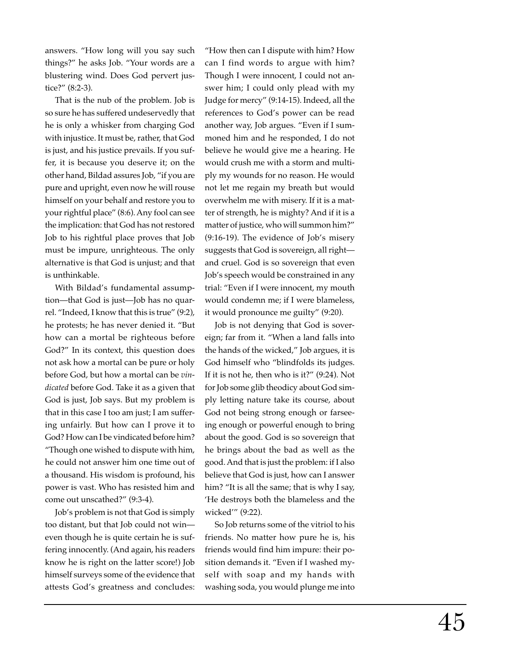answers. "How long will you say such things?" he asks Job. "Your words are a blustering wind. Does God pervert justice?" (8:2-3).

That is the nub of the problem. Job is so sure he has suffered undeservedly that he is only a whisker from charging God with injustice. It must be, rather, that God is just, and his justice prevails. If you suffer, it is because you deserve it; on the other hand, Bildad assures Job, "if you are pure and upright, even now he will rouse himself on your behalf and restore you to your rightful place" (8:6). Any fool can see the implication: that God has not restored Job to his rightful place proves that Job must be impure, unrighteous. The only alternative is that God is unjust; and that is unthinkable.

With Bildad's fundamental assumption—that God is just—Job has no quarrel. "Indeed, I know that this is true" (9:2), he protests; he has never denied it. "But how can a mortal be righteous before God?" In its context, this question does not ask how a mortal can be pure or holy before God, but how a mortal can be *vindicated* before God. Take it as a given that God is just, Job says. But my problem is that in this case I too am just; I am suffering unfairly. But how can I prove it to God? How can I be vindicated before him? "Though one wished to dispute with him, he could not answer him one time out of a thousand. His wisdom is profound, his power is vast. Who has resisted him and come out unscathed?" (9:3-4).

Job's problem is not that God is simply too distant, but that Job could not win even though he is quite certain he is suffering innocently. (And again, his readers know he is right on the latter score!) Job himself surveys some of the evidence that attests God's greatness and concludes:

"How then can I dispute with him? How can I find words to argue with him? Though I were innocent, I could not answer him; I could only plead with my Judge for mercy" (9:14-15). Indeed, all the references to God's power can be read another way, Job argues. "Even if I summoned him and he responded, I do not believe he would give me a hearing. He would crush me with a storm and multiply my wounds for no reason. He would not let me regain my breath but would overwhelm me with misery. If it is a matter of strength, he is mighty? And if it is a matter of justice, who will summon him?" (9:16-19). The evidence of Job's misery suggests that God is sovereign, all right and cruel. God is so sovereign that even Job's speech would be constrained in any trial: "Even if I were innocent, my mouth would condemn me; if I were blameless, it would pronounce me guilty" (9:20).

Job is not denying that God is sovereign; far from it. "When a land falls into the hands of the wicked," Job argues, it is God himself who "blindfolds its judges. If it is not he, then who is it?" (9:24). Not for Job some glib theodicy about God simply letting nature take its course, about God not being strong enough or farseeing enough or powerful enough to bring about the good. God is so sovereign that he brings about the bad as well as the good. And that is just the problem: if I also believe that God is just, how can I answer him? "It is all the same; that is why I say, 'He destroys both the blameless and the wicked'" (9:22).

So Job returns some of the vitriol to his friends. No matter how pure he is, his friends would find him impure: their position demands it. "Even if I washed myself with soap and my hands with washing soda, you would plunge me into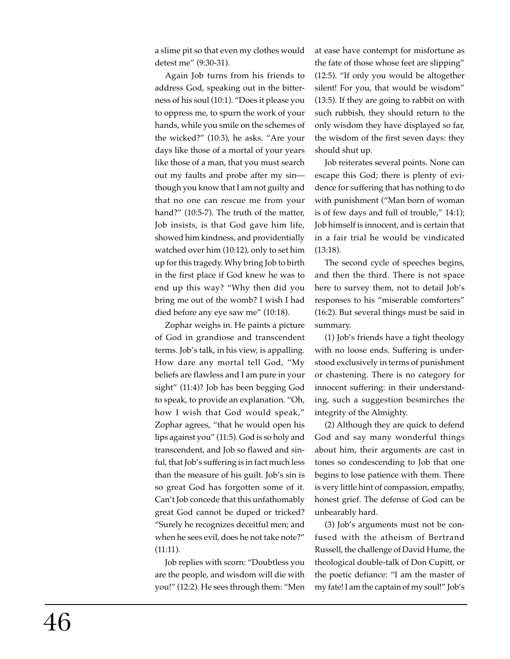a slime pit so that even my clothes would detest me" (9:30-31).

Again Job turns from his friends to address God, speaking out in the bitterness of his soul (10:1). "Does it please you to oppress me, to spurn the work of your hands, while you smile on the schemes of the wicked?" (10:3), he asks. "Are your days like those of a mortal of your years like those of a man, that you must search out my faults and probe after my sin though you know that I am not guilty and that no one can rescue me from your hand?" (10:5-7). The truth of the matter, Job insists, is that God gave him life, showed him kindness, and providentially watched over him (10:12), only to set him up for this tragedy. Why bring Job to birth in the first place if God knew he was to end up this way? "Why then did you bring me out of the womb? I wish I had died before any eye saw me" (10:18).

Zophar weighs in. He paints a picture of God in grandiose and transcendent terms. Job's talk, in his view, is appalling. How dare any mortal tell God, "My beliefs are flawless and I am pure in your sight" (11:4)? Job has been begging God to speak, to provide an explanation. "Oh, how I wish that God would speak," Zophar agrees, "that he would open his lips against you" (11:5). God is so holy and transcendent, and Job so flawed and sinful, that Job's suffering is in fact much less than the measure of his guilt. Job's sin is so great God has forgotten some of it. Can't Job concede that this unfathomably great God cannot be duped or tricked? "Surely he recognizes deceitful men; and when he sees evil, does he not take note?" (11:11).

Job replies with scorn: "Doubtless you are the people, and wisdom will die with you!" (12:2). He sees through them: "Men at ease have contempt for misfortune as the fate of those whose feet are slipping" (12:5). "If only you would be altogether silent! For you, that would be wisdom" (13:5). If they are going to rabbit on with such rubbish, they should return to the only wisdom they have displayed so far, the wisdom of the first seven days: they should shut up.

Job reiterates several points. None can escape this God; there is plenty of evidence for suffering that has nothing to do with punishment ("Man born of woman is of few days and full of trouble," 14:1); Job himself is innocent, and is certain that in a fair trial he would be vindicated (13:18).

The second cycle of speeches begins, and then the third. There is not space here to survey them, not to detail Job's responses to his "miserable comforters" (16:2). But several things must be said in summary.

(1) Job's friends have a tight theology with no loose ends. Suffering is understood exclusively in terms of punishment or chastening. There is no category for innocent suffering: in their understanding, such a suggestion besmirches the integrity of the Almighty.

(2) Although they are quick to defend God and say many wonderful things about him, their arguments are cast in tones so condescending to Job that one begins to lose patience with them. There is very little hint of compassion, empathy, honest grief. The defense of God can be unbearably hard.

(3) Job's arguments must not be confused with the atheism of Bertrand Russell, the challenge of David Hume, the theological double-talk of Don Cupitt, or the poetic defiance: "I am the master of my fate! I am the captain of my soul!" Job's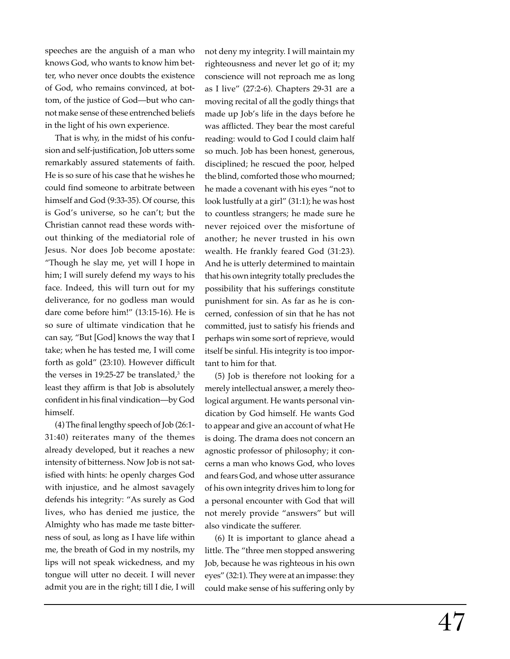speeches are the anguish of a man who knows God, who wants to know him better, who never once doubts the existence of God, who remains convinced, at bottom, of the justice of God—but who cannot make sense of these entrenched beliefs in the light of his own experience.

That is why, in the midst of his confusion and self-justification, Job utters some remarkably assured statements of faith. He is so sure of his case that he wishes he could find someone to arbitrate between himself and God (9:33-35). Of course, this is God's universe, so he can't; but the Christian cannot read these words without thinking of the mediatorial role of Jesus. Nor does Job become apostate: "Though he slay me, yet will I hope in him; I will surely defend my ways to his face. Indeed, this will turn out for my deliverance, for no godless man would dare come before him!" (13:15-16). He is so sure of ultimate vindication that he can say, "But [God] knows the way that I take; when he has tested me, I will come forth as gold" (23:10). However difficult the verses in 19:25-27 be translated, $3$  the least they affirm is that Job is absolutely confident in his final vindication—by God himself.

(4) The final lengthy speech of Job (26:1- 31:40) reiterates many of the themes already developed, but it reaches a new intensity of bitterness. Now Job is not satisfied with hints: he openly charges God with injustice, and he almost savagely defends his integrity: "As surely as God lives, who has denied me justice, the Almighty who has made me taste bitterness of soul, as long as I have life within me, the breath of God in my nostrils, my lips will not speak wickedness, and my tongue will utter no deceit. I will never admit you are in the right; till I die, I will

not deny my integrity. I will maintain my righteousness and never let go of it; my conscience will not reproach me as long as I live" (27:2-6). Chapters 29-31 are a moving recital of all the godly things that made up Job's life in the days before he was afflicted. They bear the most careful reading: would to God I could claim half so much. Job has been honest, generous, disciplined; he rescued the poor, helped the blind, comforted those who mourned; he made a covenant with his eyes "not to look lustfully at a girl" (31:1); he was host to countless strangers; he made sure he never rejoiced over the misfortune of another; he never trusted in his own wealth. He frankly feared God (31:23). And he is utterly determined to maintain that his own integrity totally precludes the possibility that his sufferings constitute punishment for sin. As far as he is concerned, confession of sin that he has not committed, just to satisfy his friends and perhaps win some sort of reprieve, would itself be sinful. His integrity is too important to him for that.

(5) Job is therefore not looking for a merely intellectual answer, a merely theological argument. He wants personal vindication by God himself. He wants God to appear and give an account of what He is doing. The drama does not concern an agnostic professor of philosophy; it concerns a man who knows God, who loves and fears God, and whose utter assurance of his own integrity drives him to long for a personal encounter with God that will not merely provide "answers" but will also vindicate the sufferer.

(6) It is important to glance ahead a little. The "three men stopped answering Job, because he was righteous in his own eyes" (32:1). They were at an impasse: they could make sense of his suffering only by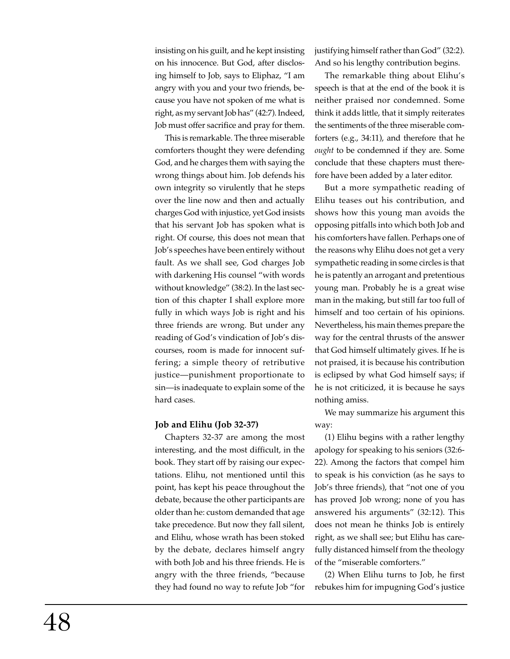insisting on his guilt, and he kept insisting on his innocence. But God, after disclosing himself to Job, says to Eliphaz, "I am angry with you and your two friends, because you have not spoken of me what is right, as my servant Job has" (42:7). Indeed, Job must offer sacrifice and pray for them.

This is remarkable. The three miserable comforters thought they were defending God, and he charges them with saying the wrong things about him. Job defends his own integrity so virulently that he steps over the line now and then and actually charges God with injustice, yet God insists that his servant Job has spoken what is right. Of course, this does not mean that Job's speeches have been entirely without fault. As we shall see, God charges Job with darkening His counsel "with words without knowledge" (38:2). In the last section of this chapter I shall explore more fully in which ways Job is right and his three friends are wrong. But under any reading of God's vindication of Job's discourses, room is made for innocent suffering; a simple theory of retributive justice—punishment proportionate to sin—is inadequate to explain some of the hard cases.

### **Job and Elihu (Job 32-37)**

Chapters 32-37 are among the most interesting, and the most difficult, in the book. They start off by raising our expectations. Elihu, not mentioned until this point, has kept his peace throughout the debate, because the other participants are older than he: custom demanded that age take precedence. But now they fall silent, and Elihu, whose wrath has been stoked by the debate, declares himself angry with both Job and his three friends. He is angry with the three friends, "because they had found no way to refute Job "for justifying himself rather than God" (32:2). And so his lengthy contribution begins.

The remarkable thing about Elihu's speech is that at the end of the book it is neither praised nor condemned. Some think it adds little, that it simply reiterates the sentiments of the three miserable comforters (e.g., 34:11), and therefore that he *ought* to be condemned if they are. Some conclude that these chapters must therefore have been added by a later editor.

But a more sympathetic reading of Elihu teases out his contribution, and shows how this young man avoids the opposing pitfalls into which both Job and his comforters have fallen. Perhaps one of the reasons why Elihu does not get a very sympathetic reading in some circles is that he is patently an arrogant and pretentious young man. Probably he is a great wise man in the making, but still far too full of himself and too certain of his opinions. Nevertheless, his main themes prepare the way for the central thrusts of the answer that God himself ultimately gives. If he is not praised, it is because his contribution is eclipsed by what God himself says; if he is not criticized, it is because he says nothing amiss.

We may summarize his argument this way:

(1) Elihu begins with a rather lengthy apology for speaking to his seniors (32:6- 22). Among the factors that compel him to speak is his conviction (as he says to Job's three friends), that "not one of you has proved Job wrong; none of you has answered his arguments" (32:12). This does not mean he thinks Job is entirely right, as we shall see; but Elihu has carefully distanced himself from the theology of the "miserable comforters."

(2) When Elihu turns to Job, he first rebukes him for impugning God's justice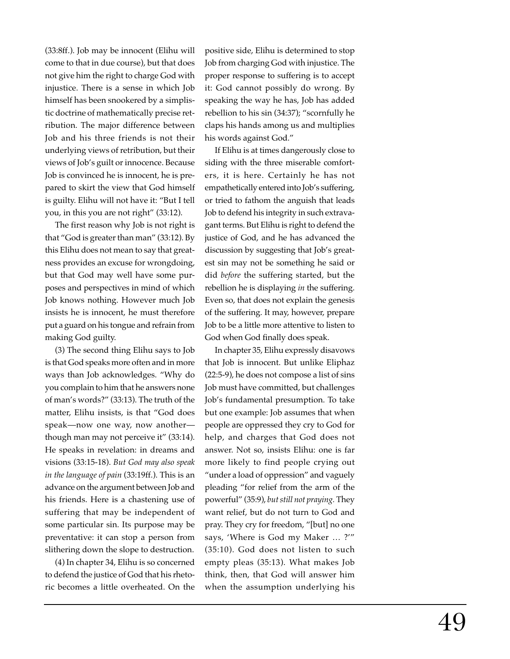(33:8ff.). Job may be innocent (Elihu will come to that in due course), but that does not give him the right to charge God with injustice. There is a sense in which Job himself has been snookered by a simplistic doctrine of mathematically precise retribution. The major difference between Job and his three friends is not their underlying views of retribution, but their views of Job's guilt or innocence. Because Job is convinced he is innocent, he is prepared to skirt the view that God himself is guilty. Elihu will not have it: "But I tell you, in this you are not right" (33:12).

The first reason why Job is not right is that "God is greater than man" (33:12). By this Elihu does not mean to say that greatness provides an excuse for wrongdoing, but that God may well have some purposes and perspectives in mind of which Job knows nothing. However much Job insists he is innocent, he must therefore put a guard on his tongue and refrain from making God guilty.

(3) The second thing Elihu says to Job is that God speaks more often and in more ways than Job acknowledges. "Why do you complain to him that he answers none of man's words?" (33:13). The truth of the matter, Elihu insists, is that "God does speak—now one way, now another though man may not perceive it" (33:14). He speaks in revelation: in dreams and visions (33:15-18). *But God may also speak in the language of pain* (33:19ff.). This is an advance on the argument between Job and his friends. Here is a chastening use of suffering that may be independent of some particular sin. Its purpose may be preventative: it can stop a person from slithering down the slope to destruction.

(4) In chapter 34, Elihu is so concerned to defend the justice of God that his rhetoric becomes a little overheated. On the positive side, Elihu is determined to stop Job from charging God with injustice. The proper response to suffering is to accept it: God cannot possibly do wrong. By speaking the way he has, Job has added rebellion to his sin (34:37); "scornfully he claps his hands among us and multiplies his words against God."

If Elihu is at times dangerously close to siding with the three miserable comforters, it is here. Certainly he has not empathetically entered into Job's suffering, or tried to fathom the anguish that leads Job to defend his integrity in such extravagant terms. But Elihu is right to defend the justice of God, and he has advanced the discussion by suggesting that Job's greatest sin may not be something he said or did *before* the suffering started, but the rebellion he is displaying *in* the suffering. Even so, that does not explain the genesis of the suffering. It may, however, prepare Job to be a little more attentive to listen to God when God finally does speak.

In chapter 35, Elihu expressly disavows that Job is innocent. But unlike Eliphaz (22:5-9), he does not compose a list of sins Job must have committed, but challenges Job's fundamental presumption. To take but one example: Job assumes that when people are oppressed they cry to God for help, and charges that God does not answer. Not so, insists Elihu: one is far more likely to find people crying out "under a load of oppression" and vaguely pleading "for relief from the arm of the powerful" (35:9), *but still not praying.* They want relief, but do not turn to God and pray. They cry for freedom, "[but] no one says, 'Where is God my Maker … ?'" (35:10). God does not listen to such empty pleas (35:13). What makes Job think, then, that God will answer him when the assumption underlying his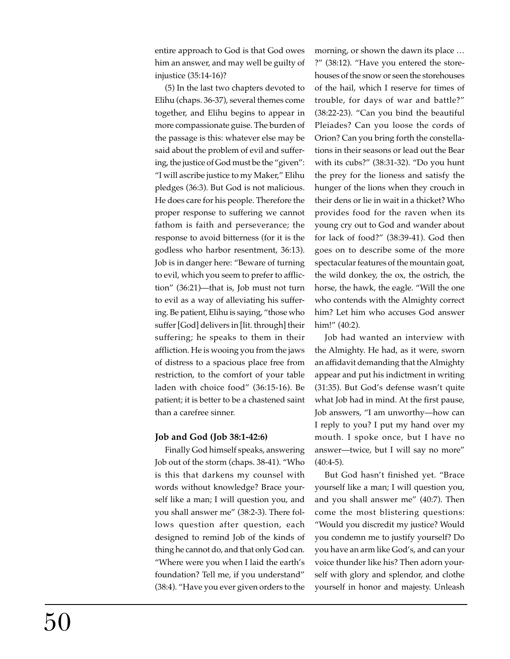entire approach to God is that God owes him an answer, and may well be guilty of injustice (35:14-16)?

(5) In the last two chapters devoted to Elihu (chaps. 36-37), several themes come together, and Elihu begins to appear in more compassionate guise. The burden of the passage is this: whatever else may be said about the problem of evil and suffering, the justice of God must be the "given": "I will ascribe justice to my Maker," Elihu pledges (36:3). But God is not malicious. He does care for his people. Therefore the proper response to suffering we cannot fathom is faith and perseverance; the response to avoid bitterness (for it is the godless who harbor resentment, 36:13). Job is in danger here: "Beware of turning to evil, which you seem to prefer to affliction" (36:21)—that is, Job must not turn to evil as a way of alleviating his suffering. Be patient, Elihu is saying, "those who suffer [God] delivers in [lit. through] their suffering; he speaks to them in their affliction. He is wooing you from the jaws of distress to a spacious place free from restriction, to the comfort of your table laden with choice food" (36:15-16). Be patient; it is better to be a chastened saint than a carefree sinner.

# **Job and God (Job 38:1-42:6)**

Finally God himself speaks, answering Job out of the storm (chaps. 38-41). "Who is this that darkens my counsel with words without knowledge? Brace yourself like a man; I will question you, and you shall answer me" (38:2-3). There follows question after question, each designed to remind Job of the kinds of thing he cannot do, and that only God can. "Where were you when I laid the earth's foundation? Tell me, if you understand" (38:4). "Have you ever given orders to the morning, or shown the dawn its place … ?" (38:12). "Have you entered the storehouses of the snow or seen the storehouses of the hail, which I reserve for times of trouble, for days of war and battle?" (38:22-23). "Can you bind the beautiful Pleiades? Can you loose the cords of Orion? Can you bring forth the constellations in their seasons or lead out the Bear with its cubs?" (38:31-32). "Do you hunt the prey for the lioness and satisfy the hunger of the lions when they crouch in their dens or lie in wait in a thicket? Who provides food for the raven when its young cry out to God and wander about for lack of food?" (38:39-41). God then goes on to describe some of the more spectacular features of the mountain goat, the wild donkey, the ox, the ostrich, the horse, the hawk, the eagle. "Will the one who contends with the Almighty correct him? Let him who accuses God answer him!" (40:2).

Job had wanted an interview with the Almighty. He had, as it were, sworn an affidavit demanding that the Almighty appear and put his indictment in writing (31:35). But God's defense wasn't quite what Job had in mind. At the first pause, Job answers, "I am unworthy—how can I reply to you? I put my hand over my mouth. I spoke once, but I have no answer—twice, but I will say no more"  $(40:4-5)$ .

But God hasn't finished yet. "Brace yourself like a man; I will question you, and you shall answer me" (40:7). Then come the most blistering questions: "Would you discredit my justice? Would you condemn me to justify yourself? Do you have an arm like God's, and can your voice thunder like his? Then adorn yourself with glory and splendor, and clothe yourself in honor and majesty. Unleash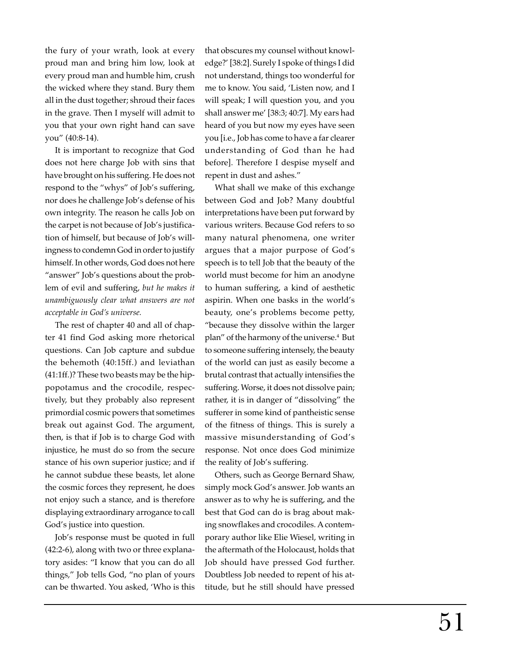the fury of your wrath, look at every proud man and bring him low, look at every proud man and humble him, crush the wicked where they stand. Bury them all in the dust together; shroud their faces in the grave. Then I myself will admit to you that your own right hand can save you" (40:8-14).

It is important to recognize that God does not here charge Job with sins that have brought on his suffering. He does not respond to the "whys" of Job's suffering, nor does he challenge Job's defense of his own integrity. The reason he calls Job on the carpet is not because of Job's justification of himself, but because of Job's willingness to condemn God in order to justify himself. In other words, God does not here "answer" Job's questions about the problem of evil and suffering, *but he makes it unambiguously clear what answers are not acceptable in God's universe.*

The rest of chapter 40 and all of chapter 41 find God asking more rhetorical questions. Can Job capture and subdue the behemoth (40:15ff.) and leviathan (41:1ff.)? These two beasts may be the hippopotamus and the crocodile, respectively, but they probably also represent primordial cosmic powers that sometimes break out against God. The argument, then, is that if Job is to charge God with injustice, he must do so from the secure stance of his own superior justice; and if he cannot subdue these beasts, let alone the cosmic forces they represent, he does not enjoy such a stance, and is therefore displaying extraordinary arrogance to call God's justice into question.

Job's response must be quoted in full (42:2-6), along with two or three explanatory asides: "I know that you can do all things," Job tells God, "no plan of yours can be thwarted. You asked, 'Who is this

that obscures my counsel without knowledge?' [38:2]. Surely I spoke of things I did not understand, things too wonderful for me to know. You said, 'Listen now, and I will speak; I will question you, and you shall answer me' [38:3; 40:7]. My ears had heard of you but now my eyes have seen you [i.e., Job has come to have a far clearer understanding of God than he had before]. Therefore I despise myself and repent in dust and ashes."

What shall we make of this exchange between God and Job? Many doubtful interpretations have been put forward by various writers. Because God refers to so many natural phenomena, one writer argues that a major purpose of God's speech is to tell Job that the beauty of the world must become for him an anodyne to human suffering, a kind of aesthetic aspirin. When one basks in the world's beauty, one's problems become petty, "because they dissolve within the larger plan" of the harmony of the universe.4 But to someone suffering intensely, the beauty of the world can just as easily become a brutal contrast that actually intensifies the suffering. Worse, it does not dissolve pain; rather, it is in danger of "dissolving" the sufferer in some kind of pantheistic sense of the fitness of things. This is surely a massive misunderstanding of God's response. Not once does God minimize the reality of Job's suffering.

Others, such as George Bernard Shaw, simply mock God's answer. Job wants an answer as to why he is suffering, and the best that God can do is brag about making snowflakes and crocodiles. A contemporary author like Elie Wiesel, writing in the aftermath of the Holocaust, holds that Job should have pressed God further. Doubtless Job needed to repent of his attitude, but he still should have pressed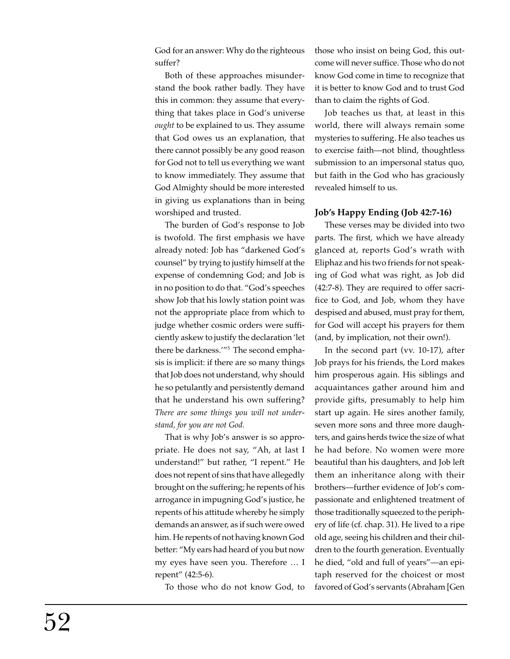God for an answer: Why do the righteous suffer?

Both of these approaches misunderstand the book rather badly. They have this in common: they assume that everything that takes place in God's universe *ought* to be explained to us. They assume that God owes us an explanation, that there cannot possibly be any good reason for God not to tell us everything we want to know immediately. They assume that God Almighty should be more interested in giving us explanations than in being worshiped and trusted.

The burden of God's response to Job is twofold. The first emphasis we have already noted: Job has "darkened God's counsel" by trying to justify himself at the expense of condemning God; and Job is in no position to do that. "God's speeches show Job that his lowly station point was not the appropriate place from which to judge whether cosmic orders were sufficiently askew to justify the declaration 'let there be darkness.'"5 The second emphasis is implicit: if there are so many things that Job does not understand, why should he so petulantly and persistently demand that he understand his own suffering? *There are some things you will not understand, for you are not God.*

That is why Job's answer is so appropriate. He does not say, "Ah, at last I understand!" but rather, "I repent." He does not repent of sins that have allegedly brought on the suffering; he repents of his arrogance in impugning God's justice, he repents of his attitude whereby he simply demands an answer, as if such were owed him. He repents of not having known God better: "My ears had heard of you but now my eyes have seen you. Therefore … I repent" (42:5-6).

To those who do not know God, to

those who insist on being God, this outcome will never suffice. Those who do not know God come in time to recognize that it is better to know God and to trust God than to claim the rights of God.

Job teaches us that, at least in this world, there will always remain some mysteries to suffering. He also teaches us to exercise faith—not blind, thoughtless submission to an impersonal status quo, but faith in the God who has graciously revealed himself to us.

#### **Job's Happy Ending (Job 42:7-16)**

These verses may be divided into two parts. The first, which we have already glanced at, reports God's wrath with Eliphaz and his two friends for not speaking of God what was right, as Job did (42:7-8). They are required to offer sacrifice to God, and Job, whom they have despised and abused, must pray for them, for God will accept his prayers for them (and, by implication, not their own!).

In the second part (vv. 10-17), after Job prays for his friends, the Lord makes him prosperous again. His siblings and acquaintances gather around him and provide gifts, presumably to help him start up again. He sires another family, seven more sons and three more daughters, and gains herds twice the size of what he had before. No women were more beautiful than his daughters, and Job left them an inheritance along with their brothers—further evidence of Job's compassionate and enlightened treatment of those traditionally squeezed to the periphery of life (cf. chap. 31). He lived to a ripe old age, seeing his children and their children to the fourth generation. Eventually he died, "old and full of years"—an epitaph reserved for the choicest or most favored of God's servants (Abraham [Gen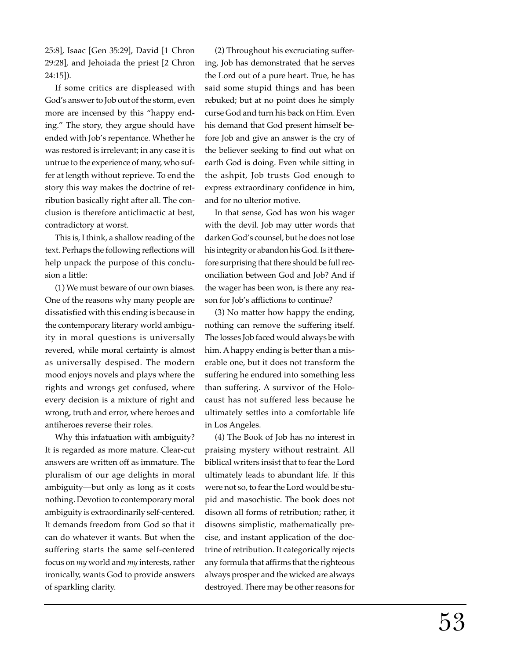25:8], Isaac [Gen 35:29], David [1 Chron 29:28], and Jehoiada the priest [2 Chron 24:15]).

If some critics are displeased with God's answer to Job out of the storm, even more are incensed by this "happy ending." The story, they argue should have ended with Job's repentance. Whether he was restored is irrelevant; in any case it is untrue to the experience of many, who suffer at length without reprieve. To end the story this way makes the doctrine of retribution basically right after all. The conclusion is therefore anticlimactic at best, contradictory at worst.

This is, I think, a shallow reading of the text. Perhaps the following reflections will help unpack the purpose of this conclusion a little:

(1) We must beware of our own biases. One of the reasons why many people are dissatisfied with this ending is because in the contemporary literary world ambiguity in moral questions is universally revered, while moral certainty is almost as universally despised. The modern mood enjoys novels and plays where the rights and wrongs get confused, where every decision is a mixture of right and wrong, truth and error, where heroes and antiheroes reverse their roles.

Why this infatuation with ambiguity? It is regarded as more mature. Clear-cut answers are written off as immature. The pluralism of our age delights in moral ambiguity—but only as long as it costs nothing. Devotion to contemporary moral ambiguity is extraordinarily self-centered. It demands freedom from God so that it can do whatever it wants. But when the suffering starts the same self-centered focus on *my* world and *my* interests, rather ironically, wants God to provide answers of sparkling clarity.

(2) Throughout his excruciating suffering, Job has demonstrated that he serves the Lord out of a pure heart. True, he has said some stupid things and has been rebuked; but at no point does he simply curse God and turn his back on Him. Even his demand that God present himself before Job and give an answer is the cry of the believer seeking to find out what on earth God is doing. Even while sitting in the ashpit, Job trusts God enough to express extraordinary confidence in him, and for no ulterior motive.

In that sense, God has won his wager with the devil. Job may utter words that darken God's counsel, but he does not lose his integrity or abandon his God. Is it therefore surprising that there should be full reconciliation between God and Job? And if the wager has been won, is there any reason for Job's afflictions to continue?

(3) No matter how happy the ending, nothing can remove the suffering itself. The losses Job faced would always be with him. A happy ending is better than a miserable one, but it does not transform the suffering he endured into something less than suffering. A survivor of the Holocaust has not suffered less because he ultimately settles into a comfortable life in Los Angeles.

(4) The Book of Job has no interest in praising mystery without restraint. All biblical writers insist that to fear the Lord ultimately leads to abundant life. If this were not so, to fear the Lord would be stupid and masochistic. The book does not disown all forms of retribution; rather, it disowns simplistic, mathematically precise, and instant application of the doctrine of retribution. It categorically rejects any formula that affirms that the righteous always prosper and the wicked are always destroyed. There may be other reasons for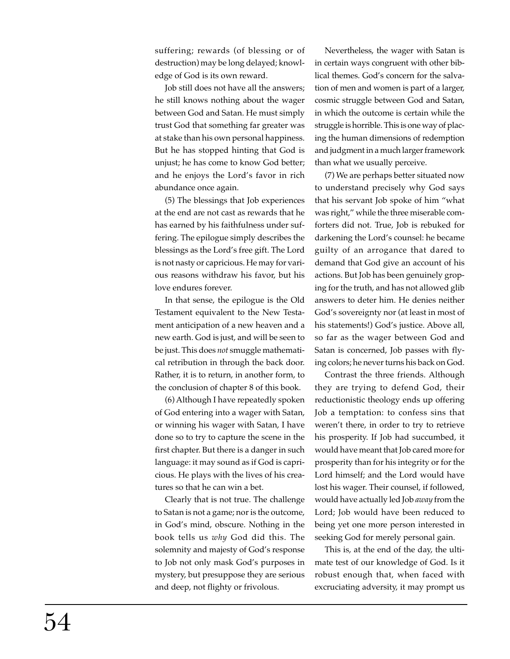suffering; rewards (of blessing or of destruction) may be long delayed; knowledge of God is its own reward.

Job still does not have all the answers; he still knows nothing about the wager between God and Satan. He must simply trust God that something far greater was at stake than his own personal happiness. But he has stopped hinting that God is unjust; he has come to know God better; and he enjoys the Lord's favor in rich abundance once again.

(5) The blessings that Job experiences at the end are not cast as rewards that he has earned by his faithfulness under suffering. The epilogue simply describes the blessings as the Lord's free gift. The Lord is not nasty or capricious. He may for various reasons withdraw his favor, but his love endures forever.

In that sense, the epilogue is the Old Testament equivalent to the New Testament anticipation of a new heaven and a new earth. God is just, and will be seen to be just. This does *not* smuggle mathematical retribution in through the back door. Rather, it is to return, in another form, to the conclusion of chapter 8 of this book.

(6) Although I have repeatedly spoken of God entering into a wager with Satan, or winning his wager with Satan, I have done so to try to capture the scene in the first chapter. But there is a danger in such language: it may sound as if God is capricious. He plays with the lives of his creatures so that he can win a bet.

Clearly that is not true. The challenge to Satan is not a game; nor is the outcome, in God's mind, obscure. Nothing in the book tells us *why* God did this. The solemnity and majesty of God's response to Job not only mask God's purposes in mystery, but presuppose they are serious and deep, not flighty or frivolous.

Nevertheless, the wager with Satan is in certain ways congruent with other biblical themes. God's concern for the salvation of men and women is part of a larger, cosmic struggle between God and Satan, in which the outcome is certain while the struggle is horrible. This is one way of placing the human dimensions of redemption and judgment in a much larger framework than what we usually perceive.

(7) We are perhaps better situated now to understand precisely why God says that his servant Job spoke of him "what was right," while the three miserable comforters did not. True, Job is rebuked for darkening the Lord's counsel: he became guilty of an arrogance that dared to demand that God give an account of his actions. But Job has been genuinely groping for the truth, and has not allowed glib answers to deter him. He denies neither God's sovereignty nor (at least in most of his statements!) God's justice. Above all, so far as the wager between God and Satan is concerned, Job passes with flying colors; he never turns his back on God.

Contrast the three friends. Although they are trying to defend God, their reductionistic theology ends up offering Job a temptation: to confess sins that weren't there, in order to try to retrieve his prosperity. If Job had succumbed, it would have meant that Job cared more for prosperity than for his integrity or for the Lord himself; and the Lord would have lost his wager. Their counsel, if followed, would have actually led Job *away* from the Lord; Job would have been reduced to being yet one more person interested in seeking God for merely personal gain.

This is, at the end of the day, the ultimate test of our knowledge of God. Is it robust enough that, when faced with excruciating adversity, it may prompt us